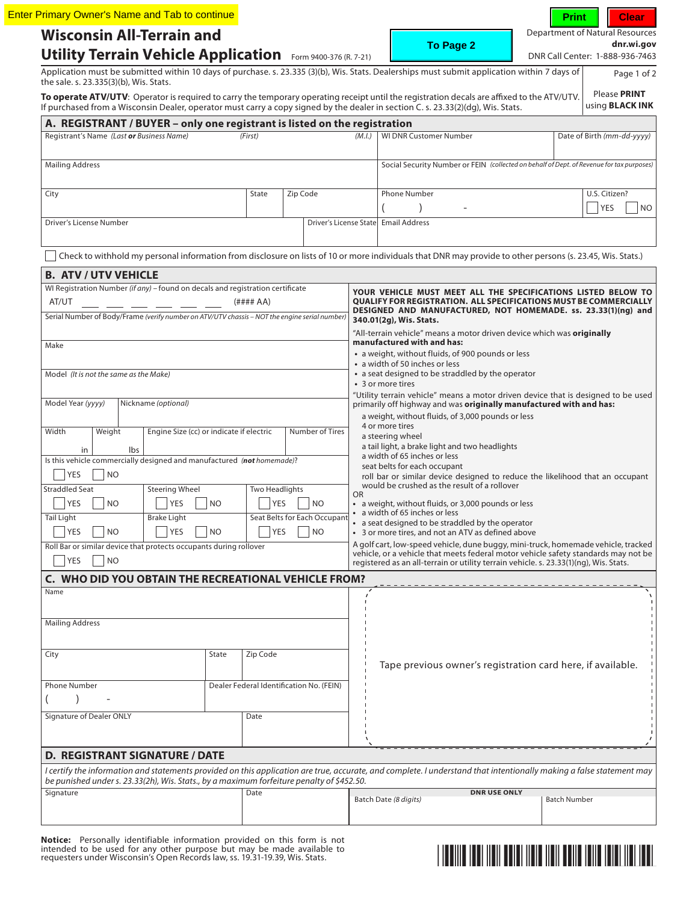|                                                                                                                                                                                                                                                                                 | <b>Enter Primary Owner's Name and Tab to continue</b> |                              |                                                                        |                                                                                                                                                                             | <b>Print</b><br><b>Clear</b>                  |
|---------------------------------------------------------------------------------------------------------------------------------------------------------------------------------------------------------------------------------------------------------------------------------|-------------------------------------------------------|------------------------------|------------------------------------------------------------------------|-----------------------------------------------------------------------------------------------------------------------------------------------------------------------------|-----------------------------------------------|
| <b>Wisconsin All-Terrain and</b>                                                                                                                                                                                                                                                |                                                       |                              |                                                                        | To Page 2                                                                                                                                                                   | Department of Natural Resources<br>dnr.wi.gov |
| Utility Terrain Vehicle Application Form 9400-376 (R. 7-21)                                                                                                                                                                                                                     |                                                       |                              |                                                                        |                                                                                                                                                                             | DNR Call Center: 1-888-936-7463               |
| Application must be submitted within 10 days of purchase. s. 23.335 (3)(b), Wis. Stats. Dealerships must submit application within 7 days of<br>the sale. s. 23.335(3)(b), Wis. Stats.                                                                                          |                                                       |                              |                                                                        |                                                                                                                                                                             | Page 1 of 2                                   |
| To operate ATV/UTV: Operator is required to carry the temporary operating receipt until the registration decals are affixed to the ATV/UTV.<br>If purchased from a Wisconsin Dealer, operator must carry a copy signed by the dealer in section C. s. 23.33(2)(dg), Wis. Stats. |                                                       |                              |                                                                        |                                                                                                                                                                             | Please PRINT<br>using <b>BLACK INK</b>        |
| A. REGISTRANT / BUYER - only one registrant is listed on the registration                                                                                                                                                                                                       |                                                       |                              |                                                                        |                                                                                                                                                                             |                                               |
| Registrant's Name (Last or Business Name)                                                                                                                                                                                                                                       | (First)                                               |                              | (M.L)                                                                  | <b>WI DNR Customer Number</b>                                                                                                                                               | Date of Birth (mm-dd-yyyy)                    |
| <b>Mailing Address</b>                                                                                                                                                                                                                                                          |                                                       |                              |                                                                        | Social Security Number or FEIN (collected on behalf of Dept. of Revenue for tax purposes)                                                                                   |                                               |
| City                                                                                                                                                                                                                                                                            | State                                                 | Zip Code                     |                                                                        | <b>Phone Number</b>                                                                                                                                                         | U.S. Citizen?<br><b>YES</b>                   |
| Driver's License Number                                                                                                                                                                                                                                                         |                                                       |                              |                                                                        | Driver's License State Email Address                                                                                                                                        |                                               |
|                                                                                                                                                                                                                                                                                 |                                                       |                              |                                                                        |                                                                                                                                                                             |                                               |
| Check to withhold my personal information from disclosure on lists of 10 or more individuals that DNR may provide to other persons (s. 23.45, Wis. Stats.)                                                                                                                      |                                                       |                              |                                                                        |                                                                                                                                                                             |                                               |
| <b>B. ATV / UTV VEHICLE</b>                                                                                                                                                                                                                                                     |                                                       |                              |                                                                        |                                                                                                                                                                             |                                               |
| WI Registration Number (if any) - found on decals and registration certificate                                                                                                                                                                                                  |                                                       |                              |                                                                        | YOUR VEHICLE MUST MEET ALL THE SPECIFICATIONS LISTED BELOW TO                                                                                                               |                                               |
| AT/UT                                                                                                                                                                                                                                                                           | (H### A)                                              |                              |                                                                        | <b>QUALIFY FOR REGISTRATION. ALL SPECIFICATIONS MUST BE COMMERCIALLY</b><br>DESIGNED AND MANUFACTURED, NOT HOMEMADE. ss. 23.33(1)(ng) and                                   |                                               |
| Serial Number of Body/Frame (verify number on ATV/UTV chassis - NOT the engine serial number)                                                                                                                                                                                   |                                                       |                              |                                                                        | 340.01(2g), Wis. Stats.                                                                                                                                                     |                                               |
|                                                                                                                                                                                                                                                                                 |                                                       |                              |                                                                        | "All-terrain vehicle" means a motor driven device which was <b>originally</b><br>manufactured with and has:                                                                 |                                               |
| Make                                                                                                                                                                                                                                                                            |                                                       |                              |                                                                        | • a weight, without fluids, of 900 pounds or less                                                                                                                           |                                               |
|                                                                                                                                                                                                                                                                                 |                                                       |                              |                                                                        | • a width of 50 inches or less                                                                                                                                              |                                               |
| Model (It is not the same as the Make)                                                                                                                                                                                                                                          |                                                       |                              | • a seat designed to be straddled by the operator<br>• 3 or more tires |                                                                                                                                                                             |                                               |
|                                                                                                                                                                                                                                                                                 |                                                       |                              |                                                                        | "Utility terrain vehicle" means a motor driven device that is designed to be used                                                                                           |                                               |
| Model Year (yyyy)<br>Nickname (optional)                                                                                                                                                                                                                                        |                                                       |                              |                                                                        | primarily off highway and was originally manufactured with and has:<br>a weight, without fluids, of 3,000 pounds or less                                                    |                                               |
|                                                                                                                                                                                                                                                                                 |                                                       |                              |                                                                        | 4 or more tires                                                                                                                                                             |                                               |
| Width<br>Weight                                                                                                                                                                                                                                                                 | Engine Size (cc) or indicate if electric              | Number of Tires              |                                                                        | a steering wheel                                                                                                                                                            |                                               |
| Ibs<br>in<br>Is this vehicle commercially designed and manufactured (not homemade)?                                                                                                                                                                                             |                                                       |                              |                                                                        | a tail light, a brake light and two headlights<br>a width of 65 inches or less                                                                                              |                                               |
| <b>NO</b><br>YES                                                                                                                                                                                                                                                                |                                                       |                              |                                                                        | seat belts for each occupant<br>roll bar or similar device designed to reduce the likelihood that an occupant                                                               |                                               |
| <b>Straddled Seat</b><br><b>Steering Wheel</b>                                                                                                                                                                                                                                  | <b>Two Headlights</b>                                 |                              |                                                                        | would be crushed as the result of a rollover                                                                                                                                |                                               |
| YES<br><b>NO</b><br>YES                                                                                                                                                                                                                                                         | YES<br>N <sub>O</sub>                                 | NO.                          | OR                                                                     | • a weight, without fluids, or 3,000 pounds or less                                                                                                                         |                                               |
| Tail Light<br><b>Brake Light</b>                                                                                                                                                                                                                                                |                                                       | Seat Belts for Each Occupant |                                                                        | • a width of 65 inches or less                                                                                                                                              |                                               |
| YES<br><b>NO</b><br><b>YES</b>                                                                                                                                                                                                                                                  | <b>NO</b><br>YES                                      | NO.                          |                                                                        | a seat designed to be straddled by the operator<br>• 3 or more tires, and not an ATV as defined above                                                                       |                                               |
| Roll Bar or similar device that protects occupants during rollover                                                                                                                                                                                                              |                                                       |                              |                                                                        | A golf cart, low-speed vehicle, dune buggy, mini-truck, homemade vehicle, tracked                                                                                           |                                               |
| YES<br><b>NO</b>                                                                                                                                                                                                                                                                |                                                       |                              |                                                                        | vehicle, or a vehicle that meets federal motor vehicle safety standards may not be<br>registered as an all-terrain or utility terrain vehicle. s. 23.33(1)(ng), Wis. Stats. |                                               |
| C. WHO DID YOU OBTAIN THE RECREATIONAL VEHICLE FROM?                                                                                                                                                                                                                            |                                                       |                              |                                                                        |                                                                                                                                                                             |                                               |
| Name                                                                                                                                                                                                                                                                            |                                                       |                              |                                                                        |                                                                                                                                                                             |                                               |
|                                                                                                                                                                                                                                                                                 |                                                       |                              |                                                                        |                                                                                                                                                                             |                                               |
| <b>Mailing Address</b>                                                                                                                                                                                                                                                          |                                                       |                              |                                                                        |                                                                                                                                                                             |                                               |
|                                                                                                                                                                                                                                                                                 |                                                       |                              |                                                                        |                                                                                                                                                                             |                                               |
|                                                                                                                                                                                                                                                                                 |                                                       |                              |                                                                        |                                                                                                                                                                             |                                               |
| City                                                                                                                                                                                                                                                                            | State<br>Zip Code                                     |                              |                                                                        | Tape previous owner's registration card here, if available.                                                                                                                 |                                               |
|                                                                                                                                                                                                                                                                                 |                                                       |                              |                                                                        |                                                                                                                                                                             |                                               |
| <b>Phone Number</b>                                                                                                                                                                                                                                                             | Dealer Federal Identification No. (FEIN)              |                              |                                                                        |                                                                                                                                                                             |                                               |
|                                                                                                                                                                                                                                                                                 |                                                       |                              |                                                                        |                                                                                                                                                                             |                                               |
| Signature of Dealer ONLY                                                                                                                                                                                                                                                        | Date                                                  |                              |                                                                        |                                                                                                                                                                             |                                               |
|                                                                                                                                                                                                                                                                                 |                                                       |                              |                                                                        |                                                                                                                                                                             |                                               |
| <b>D. REGISTRANT SIGNATURE / DATE</b>                                                                                                                                                                                                                                           |                                                       |                              |                                                                        |                                                                                                                                                                             |                                               |
|                                                                                                                                                                                                                                                                                 |                                                       |                              |                                                                        |                                                                                                                                                                             |                                               |
|                                                                                                                                                                                                                                                                                 |                                                       |                              |                                                                        |                                                                                                                                                                             |                                               |
| I certify the information and statements provided on this application are true, accurate, and complete. I understand that intentionally making a false statement may<br>be punished under s. 23.33(2h), Wis. Stats., by a maximum forfeiture penalty of \$452.50.               |                                                       |                              |                                                                        |                                                                                                                                                                             |                                               |
| Signature                                                                                                                                                                                                                                                                       | Date                                                  |                              |                                                                        | <b>DNR USE ONLY</b><br>Batch Date (8 digits)                                                                                                                                | <b>Batch Number</b>                           |

**Notice:** Personally identifiable information provided on this form is not<br>intended to be used for any other purpose but may be made available to<br>requesters under Wisconsin's Open Records law, ss. 19.31-19.39, Wis. Stats.